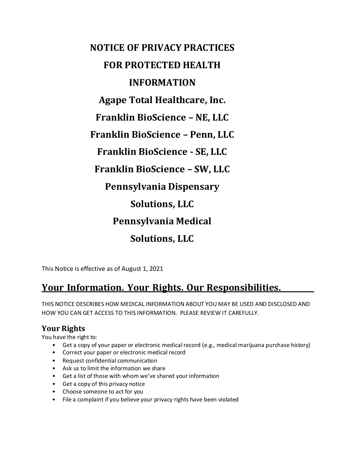# **NOTICE OF PRIVACY PRACTICES FOR PROTECTED HEALTH INFORMATION Agape Total Healthcare, Inc. Franklin BioScience – NE, LLC Franklin BioScience – Penn, LLC Franklin BioScience - SE, LLC Franklin BioScience – SW, LLC Pennsylvania Dispensary Solutions, LLC Pennsylvania Medical Solutions, LLC**

This Notice is effective as of August 1, 2021

## **Your Information. Your Rights. Our Responsibilities.**

THIS NOTICE DESCRIBES HOW MEDICAL INFORMATION ABOUT YOU MAY BE USED AND DISCLOSED AND HOW YOU CAN GET ACCESS TO THIS INFORMATION. PLEASE REVIEW IT CAREFULLY.

## **Your Rights**

You have the right to:

- Get a copy of your paper or electronic medical record (e.g., medical marijuana purchase history)
- Correct your paper or electronic medical record
- Request confidential communication
- Ask us to limit the information we share
- Get a list of those with whom we've shared your information
- Get a copy of this privacy notice
- Choose someone to act for you
- File a complaint if you believe your privacy rights have been violated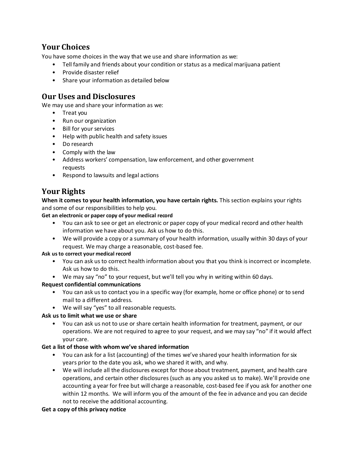## **Your Choices**

You have some choices in the way that we use and share information as we:

- Tell family and friends about your condition or status as a medical marijuana patient
- Provide disaster relief
- Share your information as detailed below

## **Our Uses and Disclosures**

We may use and share your information as we:

- Treat you
- Run our organization
- Bill for your services
- Help with public health and safety issues
- Do research
- Comply with the law
- Address workers' compensation, law enforcement, and other government requests
- Respond to lawsuits and legal actions

## **Your Rights**

**When it comes to your health information, you have certain rights.** This section explains your rights and some of our responsibilities to help you.

**Get an electronic or paper copy of your medical record**

- You can ask to see or get an electronic or paper copy of your medical record and other health information we have about you. Ask us how to do this.
- We will provide a copy or a summary of your health information, usually within 30 days of your request. We may charge a reasonable, cost-based fee.

#### **Ask us to correct your medical record**

- You can ask us to correct health information about you that you think is incorrect or incomplete. Ask us how to do this.
- We may say "no" to your request, but we'll tell you why in writing within 60 days.

#### **Request confidential communications**

- You can ask us to contact you in a specific way (for example, home or office phone) or to send mail to a different address.
- We will say "yes" to all reasonable requests.

#### **Ask us to limit what we use or share**

• You can ask us not to use or share certain health information for treatment, payment, or our operations. We are not required to agree to your request, and we may say "no" if it would affect your care.

#### **Get a list of those with whom we've shared information**

- You can ask for a list (accounting) of the times we've shared your health information for six years prior to the date you ask, who we shared it with, and why.
- We will include all the disclosures except for those about treatment, payment, and health care operations, and certain other disclosures (such as any you asked us to make). We'll provide one accounting a year for free but will charge a reasonable, cost-based fee if you ask for another one within 12 months. We will inform you of the amount of the fee in advance and you can decide not to receive the additional accounting.

#### **Get a copy of this privacy notice**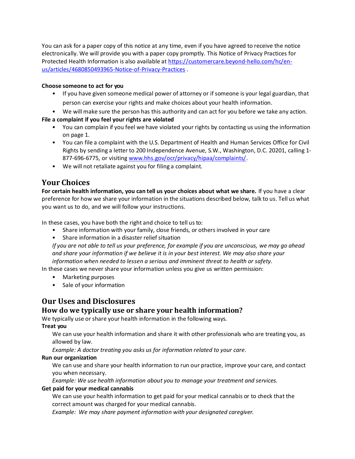You can ask for a paper copy of this notice at any time, even if you have agreed to receive the notice electronically. We will provide you with a paper copy promptly. This Notice of Privacy Practices for Protected Health Information is also available a[t https://customercare.beyond-hello.com/hc/en](https://customercare.beyond-hello.com/hc/en-us/articles/4680850493965-Notice-of-Privacy-Practices)[us/articles/4680850493965-Notice-of-Privacy-Practices](https://customercare.beyond-hello.com/hc/en-us/articles/4680850493965-Notice-of-Privacy-Practices) .

#### **Choose someone to act for you**

- If you have given someone medical power of attorney or if someone is your legal guardian, that person can exercise your rights and make choices about your health information.
- We will make sure the person has this authority and can act for you before we take any action.

#### **File a complaint if you feel your rights are violated**

- You can complain if you feel we have violated your rights by contacting us using the information on page 1.
- You can file a complaint with the U.S. Department of Health and Human Services Office for Civil Rights by sending a letter to 200 Independence Avenue, S.W., Washington, D.C. 20201, calling 1 877-696-6775, or visiting [www.hhs.gov/ocr/privacy/hipaa/complaints/.](http://www.hhs.gov/ocr/privacy/hipaa/complaints/)
- We will not retaliate against you for filing a complaint.

## **Your Choices**

**For certain health information, you can tell us your choices about what we share.** If you have a clear preference for how we share your information in the situations described below, talk to us. Tell us what you want us to do, and we will follow your instructions.

In these cases, you have both the right and choice to tell us to:

- Share information with your family, close friends, or others involved in your care
- Share information in a disaster relief situation

If you are not able to tell us your preference, for example if you are unconscious, we may go ahead *and share your information if we believe it is in your best interest. We may also share your information when needed to lessen a serious and imminent threat to health or safety.*

In these cases we never share your information unless you give us written permission:

- Marketing purposes
- Sale of your information

## **Our Uses and Disclosures**

## **How do we typically use or share your health information?**

We typically use or share your health information in the following ways.

#### **Treat you**

We can use your health information and share it with other professionals who are treating you, as allowed by law.

*Example: A doctor treating you asks us for information related to your care.*

#### **Run our organization**

We can use and share your health information to run our practice, improve your care, and contact you when necessary.

*Example: We use health information about you to manage your treatment and services.*

#### **Get paid for your medical cannabis**

We can use your health information to get paid for your medical cannabis or to check that the correct amount was charged for your medical cannabis.

*Example: We may share payment information with your designated caregiver.*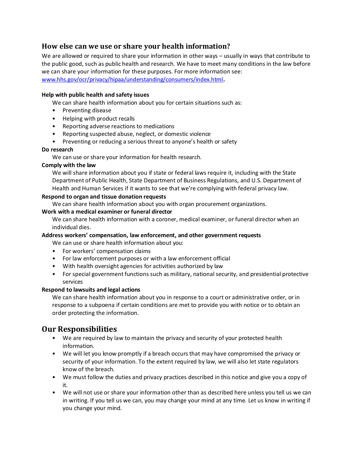### **How else can we use or share your health information?**

We are allowed or required to share your information in other ways – usually in ways that contribute to the public good, such as public health and research. We have to meet many conditions in the law before we can share your information for these purposes. For more information see: [www.hhs.gov/ocr/privacy/hipaa/understanding/consumers/index.html](http://www.hhs.gov/ocr/privacy/hipaa/understanding/consumers/index.html)**.**

#### **Help with public health and safety issues**

We can share health information about you for certain situations such as:

- Preventing disease
- Helping with product recalls
- Reporting adverse reactions to medications
- Reporting suspected abuse, neglect, or domestic violence
- Preventing or reducing a serious threat to anyone's health or safety

#### **Do research**

We can use or share your information for health research.

#### **Comply with the law**

We will share information about you if state or federal laws require it, including with the State Department of Public Health, State Department of Business Regulations, and U.S. Department of Health and Human Services if it wants to see that we're complying with federal privacy law.

#### **Respond to organ and tissue donation requests**

We can share health information about you with organ procurement organizations.

#### **Work with a medical examiner or funeral director**

We can share health information with a coroner, medical examiner, or funeral director when an individual dies.

#### **Address workers' compensation, law enforcement, and other government requests**

We can use or share health information about you:

- For workers' compensation claims
- For law enforcement purposes or with a law enforcement official
- With health oversight agencies for activities authorized by law
- For special government functions such as military, nationalsecurity, and presidential protective services

#### **Respond to lawsuits and legal actions**

We can share health information about you in response to a court or administrative order, or in response to a subpoena if certain conditions are met to provide you with notice or to obtain an order protecting the information.

## **Our Responsibilities**

- We are required by law to maintain the privacy and security of your protected health information.
- We will let you know promptly if a breach occurs that may have compromised the privacy or security of your information. To the extent required by law, we will also let state regulators know of the breach.
- We must follow the duties and privacy practices described in this notice and give you a copy of it.
- We will not use or share your information other than as described here unless you tell us we can in writing. If you tell us we can, you may change your mind at any time. Let us know in writing if you change your mind.